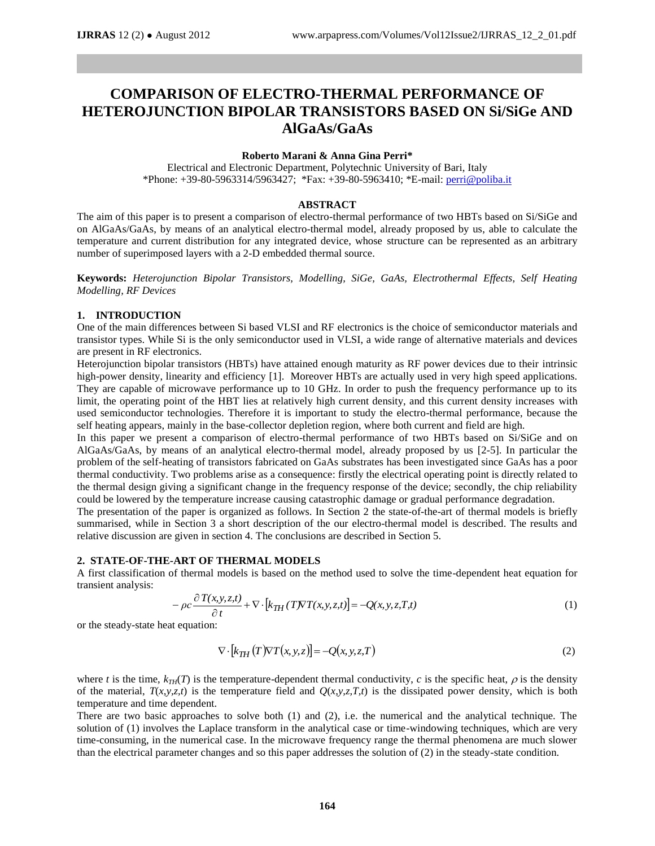# **COMPARISON OF ELECTRO-THERMAL PERFORMANCE OF HETEROJUNCTION BIPOLAR TRANSISTORS BASED ON Si/SiGe AND AlGaAs/GaAs**

# **Roberto Marani & Anna Gina Perri\***

Electrical and Electronic Department, Polytechnic University of Bari, Italy \*Phone:  $+39-80-5963314/5963427$ ; \*Fax:  $+39-80-5963410$ ; \*E-mail: [perri@poliba.it](mailto:perri@poliba.it)

#### **ABSTRACT**

The aim of this paper is to present a comparison of electro-thermal performance of two HBTs based on Si/SiGe and on AlGaAs/GaAs, by means of an analytical electro-thermal model, already proposed by us, able to calculate the temperature and current distribution for any integrated device, whose structure can be represented as an arbitrary number of superimposed layers with a 2-D embedded thermal source.

**Keywords:** *Heterojunction Bipolar Transistors, Modelling, SiGe, GaAs, Electrothermal Effects, Self Heating Modelling, RF Devices*

## **1. INTRODUCTION**

One of the main differences between Si based VLSI and RF electronics is the choice of semiconductor materials and transistor types. While Si is the only semiconductor used in VLSI, a wide range of alternative materials and devices are present in RF electronics.

Heterojunction bipolar transistors (HBTs) have attained enough maturity as RF power devices due to their intrinsic high-power density, linearity and efficiency [1]. Moreover HBTs are actually used in very high speed applications. They are capable of microwave performance up to 10 GHz. In order to push the frequency performance up to its limit, the operating point of the HBT lies at relatively high current density, and this current density increases with used semiconductor technologies. Therefore it is important to study the electro-thermal performance, because the self heating appears, mainly in the base-collector depletion region, where both current and field are high.

In this paper we present a comparison of electro-thermal performance of two HBTs based on Si/SiGe and on AlGaAs/GaAs, by means of an analytical electro-thermal model, already proposed by us [2-5]. In particular the problem of the self-heating of transistors fabricated on GaAs substrates has been investigated since GaAs has a poor thermal conductivity. Two problems arise as a consequence: firstly the electrical operating point is directly related to the thermal design giving a significant change in the frequency response of the device; secondly, the chip reliability could be lowered by the temperature increase causing catastrophic damage or gradual performance degradation.

The presentation of the paper is organized as follows. In Section 2 the state-of-the-art of thermal models is briefly summarised, while in Section 3 a short description of the our electro-thermal model is described. The results and relative discussion are given in section 4. The conclusions are described in Section 5.

## **2. STATE-OF-THE-ART OF THERMAL MODELS**

A first classification of thermal models is based on the method used to solve the time-dependent heat equation for transient analysis:

$$
-\rho c \frac{\partial T(x, y, z, t)}{\partial t} + \nabla \cdot [k_{TH} (TNT(x, y, z, t)] = -Q(x, y, z, T, t)
$$
\n(1)

or the steady-state heat equation:

$$
\nabla \cdot \left[ k_{TH} \left( T \right) \nabla T \left( x, y, z \right) \right] = -Q(x, y, z, T) \tag{2}
$$

where *t* is the time,  $k_{TH}(T)$  is the temperature-dependent thermal conductivity, *c* is the specific heat,  $\rho$  is the density of the material,  $T(x,y,z,t)$  is the temperature field and  $Q(x,y,z,T,t)$  is the dissipated power density, which is both temperature and time dependent.

There are two basic approaches to solve both (1) and (2), i.e. the numerical and the analytical technique. The solution of (1) involves the Laplace transform in the analytical case or time-windowing techniques, which are very time-consuming, in the numerical case. In the microwave frequency range the thermal phenomena are much slower than the electrical parameter changes and so this paper addresses the solution of (2) in the steady-state condition.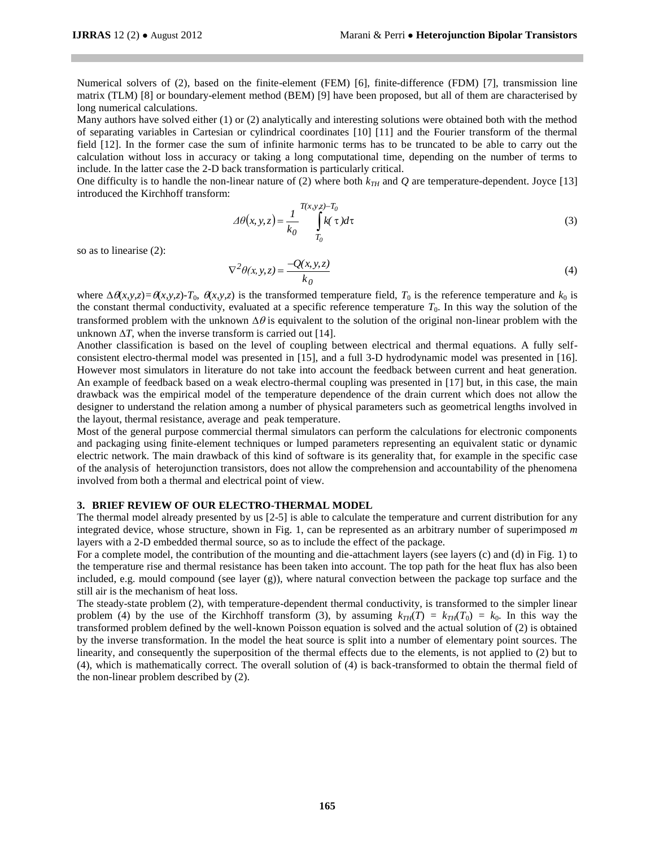Numerical solvers of (2), based on the finite-element (FEM) [6], finite-difference (FDM) [7], transmission line matrix (TLM) [8] or boundary-element method (BEM) [9] have been proposed, but all of them are characterised by long numerical calculations.

Many authors have solved either (1) or (2) analytically and interesting solutions were obtained both with the method of separating variables in Cartesian or cylindrical coordinates [10] [11] and the Fourier transform of the thermal field [12]. In the former case the sum of infinite harmonic terms has to be truncated to be able to carry out the calculation without loss in accuracy or taking a long computational time, depending on the number of terms to include. In the latter case the 2-D back transformation is particularly critical.

One difficulty is to handle the non-linear nature of (2) where both  $k_{TH}$  and  $Q$  are temperature-dependent. Joyce [13] introduced the Kirchhoff transform:

$$
\Delta\theta(x, y, z) = \frac{1}{k_0} \int_{T_0}^{T(x, y, z) - T_0} k(\tau) d\tau
$$
\n(3)

so as to linearise (2):

$$
\nabla^2 \theta(x, y, z) = \frac{-Q(x, y, z)}{k_0}
$$
 (4)

where  $\Delta \theta(x,y,z) = \theta(x,y,z) - T_0$ ,  $\theta(x,y,z)$  is the transformed temperature field,  $T_0$  is the reference temperature and  $k_0$  is the constant thermal conductivity, evaluated at a specific reference temperature  $T_0$ . In this way the solution of the transformed problem with the unknown  $\Delta\theta$  is equivalent to the solution of the original non-linear problem with the unknown  $\Delta T$ , when the inverse transform is carried out [14].

Another classification is based on the level of coupling between electrical and thermal equations. A fully selfconsistent electro-thermal model was presented in [15], and a full 3-D hydrodynamic model was presented in [16]. However most simulators in literature do not take into account the feedback between current and heat generation. An example of feedback based on a weak electro-thermal coupling was presented in [17] but, in this case, the main drawback was the empirical model of the temperature dependence of the drain current which does not allow the designer to understand the relation among a number of physical parameters such as geometrical lengths involved in the layout, thermal resistance, average and peak temperature.

Most of the general purpose commercial thermal simulators can perform the calculations for electronic components and packaging using finite-element techniques or lumped parameters representing an equivalent static or dynamic electric network. The main drawback of this kind of software is its generality that, for example in the specific case of the analysis of heterojunction transistors, does not allow the comprehension and accountability of the phenomena involved from both a thermal and electrical point of view.

### **3. BRIEF REVIEW OF OUR ELECTRO-THERMAL MODEL**

The thermal model already presented by us [2-5] is able to calculate the temperature and current distribution for any integrated device, whose structure, shown in Fig. 1, can be represented as an arbitrary number of superimposed *m*  layers with a 2-D embedded thermal source, so as to include the effect of the package.

For a complete model, the contribution of the mounting and die-attachment layers (see layers (c) and (d) in Fig. 1) to the temperature rise and thermal resistance has been taken into account. The top path for the heat flux has also been included, e.g. mould compound (see layer (g)), where natural convection between the package top surface and the still air is the mechanism of heat loss.

The steady-state problem (2), with temperature-dependent thermal conductivity, is transformed to the simpler linear problem (4) by the use of the Kirchhoff transform (3), by assuming  $k_{TH}(T) = k_{TH}(T_0) = k_0$ . In this way the transformed problem defined by the well-known Poisson equation is solved and the actual solution of (2) is obtained by the inverse transformation. In the model the heat source is split into a number of elementary point sources. The linearity, and consequently the superposition of the thermal effects due to the elements, is not applied to (2) but to (4), which is mathematically correct. The overall solution of (4) is back-transformed to obtain the thermal field of the non-linear problem described by (2).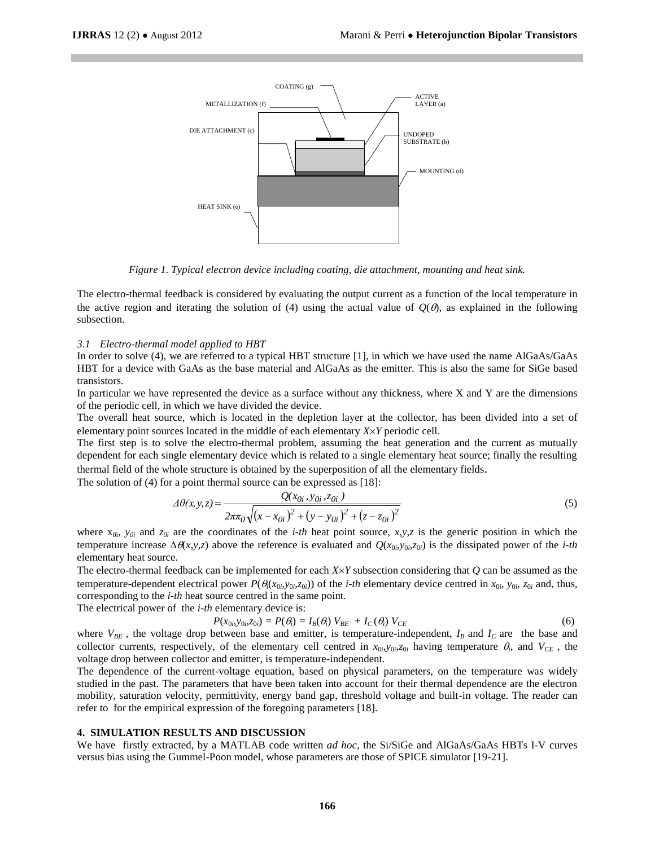

*Figure 1. Typical electron device including coating, die attachment, mounting and heat sink.*

The electro-thermal feedback is considered by evaluating the output current as a function of the local temperature in the active region and iterating the solution of (4) using the actual value of  $O(\theta)$ , as explained in the following subsection.

#### *3.1 Electro-thermal model applied to HBT*

In order to solve (4), we are referred to a typical HBT structure [1], in which we have used the name AlGaAs/GaAs HBT for a device with GaAs as the base material and AlGaAs as the emitter. This is also the same for SiGe based transistors.

In particular we have represented the device as a surface without any thickness, where  $X$  and  $Y$  are the dimensions of the periodic cell, in which we have divided the device.

The overall heat source, which is located in the depletion layer at the collector, has been divided into a set of elementary point sources located in the middle of each elementary *XY* periodic cell.

The first step is to solve the electro-thermal problem, assuming the heat generation and the current as mutually dependent for each single elementary device which is related to a single elementary heat source; finally the resulting thermal field of the whole structure is obtained by the superposition of all the elementary fields.

The solution of (4) for a point thermal source can be expressed as [18]:

$$
\Delta\theta(x, y, z) = \frac{Q(x_{0i}, y_{0i}, z_{0i})}{2\pi\pi_0\sqrt{(x - x_{0i})^2 + (y - y_{0i})^2 + (z - z_{0i})^2}}
$$
(5)

where  $x_{0i}$ ,  $y_{0i}$  and  $z_{0i}$  are the coordinates of the *i-th* heat point source, *x*,*y*,*z* is the generic position in which the temperature increase  $\Delta \theta(x, y, z)$  above the reference is evaluated and  $Q(x_{0i}, y_{0i}, z_{0i})$  is the dissipated power of the *i-th* elementary heat source.

The electro-thermal feedback can be implemented for each *XY* subsection considering that *Q* can be assumed as the temperature-dependent electrical power  $P(\theta_i(x_{0i},y_{0i},z_{0i}))$  of the *i-th* elementary device centred in  $x_{0i}$ ,  $y_{0i}$ ,  $z_{0i}$  and, thus, corresponding to the *i-th* heat source centred in the same point.

The electrical power of the *i-th* elementary device is:

$$
P(x_{0i}, y_{0i}, z_{0i}) = P(\theta_i) = I_B(\theta_i) V_{BE} + I_C(\theta_i) V_{CE}
$$
(6)

where  $V_{BE}$ , the voltage drop between base and emitter, is temperature-independent,  $I_B$  and  $I_C$  are the base and collector currents, respectively, of the elementary cell centred in  $x_{0i}$ ,  $y_{0i}$ ,  $z_{0i}$  having temperature  $\theta_i$ , and  $V_{CE}$ , the voltage drop between collector and emitter, is temperature-independent.

The dependence of the current-voltage equation, based on physical parameters, on the temperature was widely studied in the past. The parameters that have been taken into account for their thermal dependence are the electron mobility, saturation velocity, permittivity, energy band gap, threshold voltage and built-in voltage. The reader can refer to for the empirical expression of the foregoing parameters [18].

#### **4. SIMULATION RESULTS AND DISCUSSION**

We have firstly extracted, by a MATLAB code written *ad hoc*, the Si/SiGe and AlGaAs/GaAs HBTs I-V curves versus bias using the Gummel-Poon model, whose parameters are those of SPICE simulator [19-21].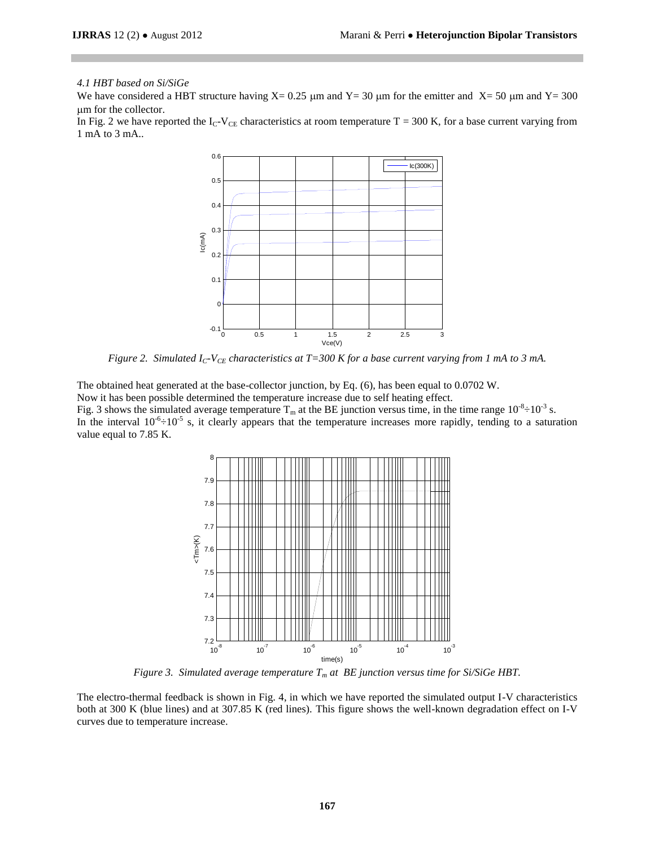## *4.1 HBT based on Si/SiGe*

We have considered a HBT structure having  $X = 0.25 \mu m$  and  $Y = 30 \mu m$  for the emitter and  $X = 50 \mu m$  and  $Y = 300$ m for the collector.

In Fig. 2 we have reported the  $I_C-V_{CE}$  characteristics at room temperature  $T = 300$  K, for a base current varying from 1 mA to 3 mA..



*Figure 2. Simulated IC-VCE characteristics at T=300 K for a base current varying from 1 mA to 3 mA.*

The obtained heat generated at the base-collector junction, by Eq. (6), has been equal to 0.0702 W. Now it has been possible determined the temperature increase due to self heating effect. Fig. 3 shows the simulated average temperature  $T_m$  at the BE junction versus time, in the time range  $10^{-8} \div 10^{-3}$  s. In the interval  $10^{-6} \div 10^{-5}$  s, it clearly appears that the temperature increases more rapidly, tending to a saturation value equal to 7.85 K.



*Figure 3. Simulated average temperature T<sup>m</sup> at BE junction versus time for Si/SiGe HBT.*

The electro-thermal feedback is shown in Fig. 4, in which we have reported the simulated output I-V characteristics both at 300 K (blue lines) and at 307.85 K (red lines). This figure shows the well-known degradation effect on I-V curves due to temperature increase.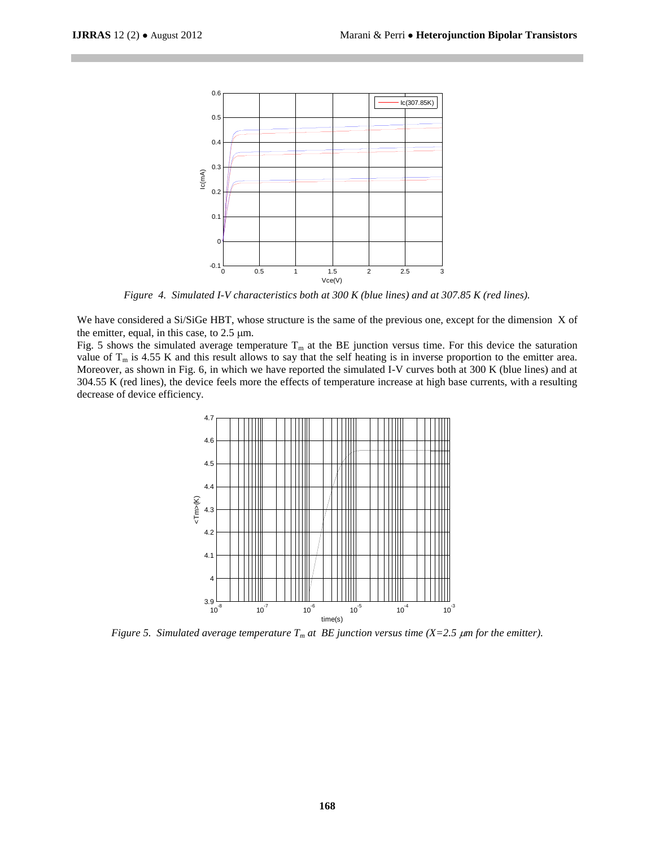

*Figure 4. Simulated I-V characteristics both at 300 K (blue lines) and at 307.85 K (red lines).*

We have considered a Si/SiGe HBT, whose structure is the same of the previous one, except for the dimension X of the emitter, equal, in this case, to  $2.5 \mu m$ .

Fig. 5 shows the simulated average temperature  $T_m$  at the BE junction versus time. For this device the saturation value of  $T_m$  is 4.55 K and this result allows to say that the self heating is in inverse proportion to the emitter area. Moreover, as shown in Fig. 6, in which we have reported the simulated I-V curves both at 300 K (blue lines) and at 304.55 K (red lines), the device feels more the effects of temperature increase at high base currents, with a resulting decrease of device efficiency.



*Figure* 5. Simulated average temperature  $T_m$  at BE junction versus time  $(X=2.5 \mu m$  for the emitter).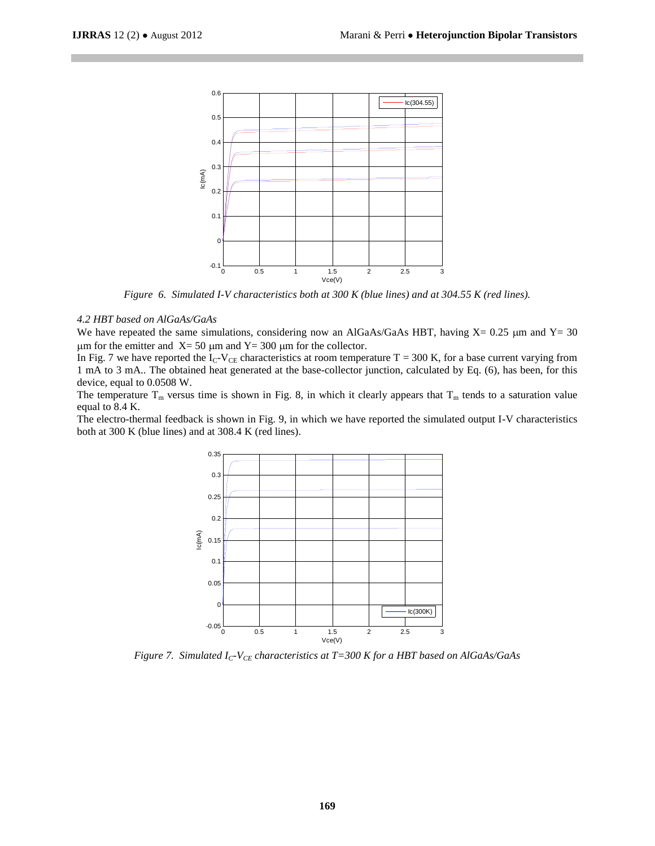

*Figure 6. Simulated I-V characteristics both at 300 K (blue lines) and at 304.55 K (red lines).*

# *4.2 HBT based on AlGaAs/GaAs*

We have repeated the same simulations, considering now an AlGaAs/GaAs HBT, having  $X= 0.25 \mu m$  and  $Y= 30$  $\mu$ m for the emitter and X= 50  $\mu$ m and Y= 300  $\mu$ m for the collector.

In Fig. 7 we have reported the I<sub>C</sub>-V<sub>CE</sub> characteristics at room temperature T = 300 K, for a base current varying from 1 mA to 3 mA.. The obtained heat generated at the base-collector junction, calculated by Eq. (6), has been, for this device, equal to 0.0508 W.

The temperature  $T_m$  versus time is shown in Fig. 8, in which it clearly appears that  $T_m$  tends to a saturation value equal to 8.4 K.

The electro-thermal feedback is shown in Fig. 9, in which we have reported the simulated output I-V characteristics both at 300 K (blue lines) and at 308.4 K (red lines).



*Figure 7. Simulated IC-VCE characteristics at T=300 K for a HBT based on AlGaAs/GaAs*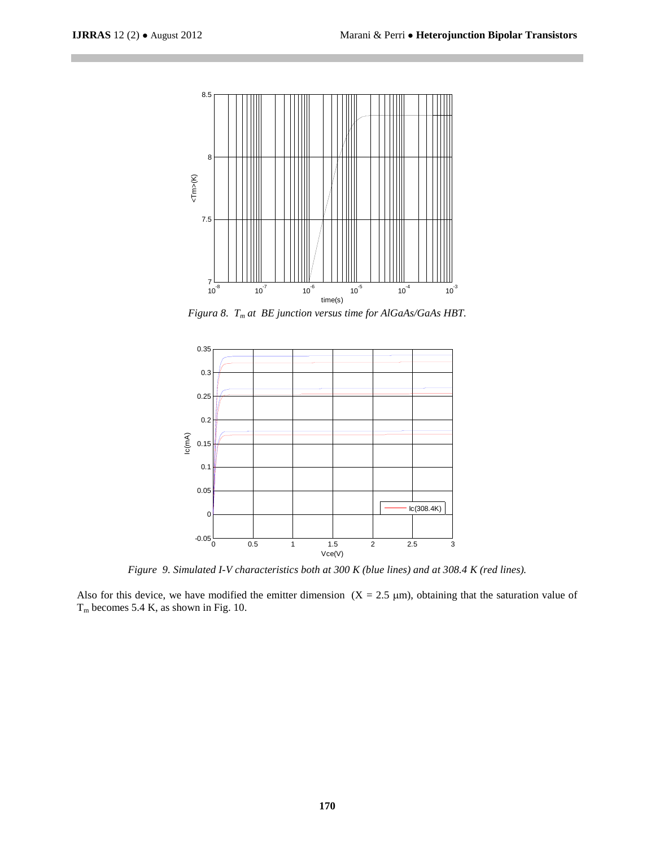

*Figura 8. T<sup>m</sup> at BE junction versus time for AlGaAs/GaAs HBT.*



*Figure 9. Simulated I-V characteristics both at 300 K (blue lines) and at 308.4 K (red lines).*

Also for this device, we have modified the emitter dimension  $(X = 2.5 \mu m)$ , obtaining that the saturation value of  $T_m$  becomes 5.4 K, as shown in Fig. 10.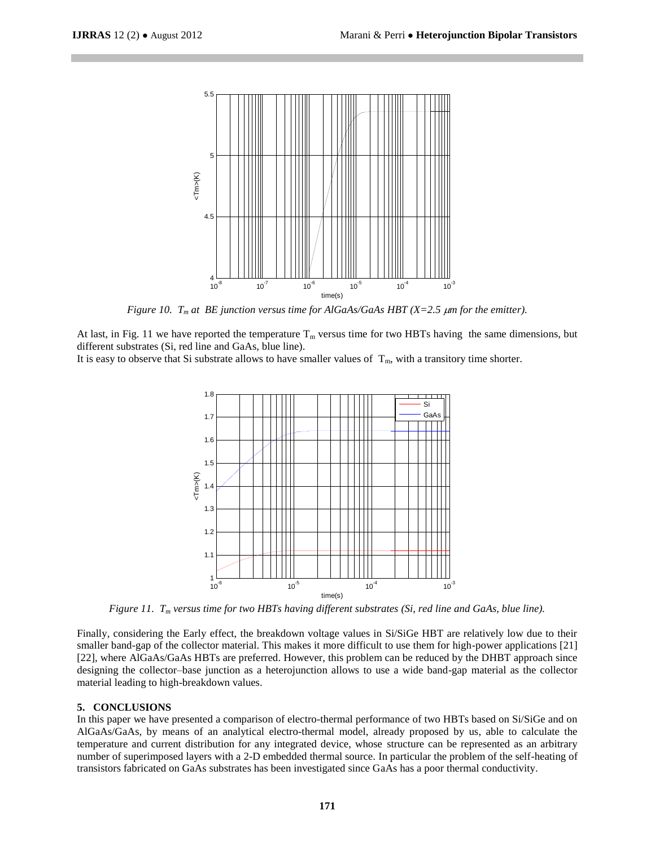

*Figure 10. T<sup>m</sup> at BE junction versus time for AlGaAs/GaAs HBT (X=2.5 m for the emitter).*

At last, in Fig. 11 we have reported the temperature  $T_m$  versus time for two HBTs having the same dimensions, but different substrates (Si, red line and GaAs, blue line).

It is easy to observe that Si substrate allows to have smaller values of  $T_m$ , with a transitory time shorter.



*Figure 11. T<sup>m</sup> versus time for two HBTs having different substrates (Si, red line and GaAs, blue line).*

Finally, considering the Early effect, the breakdown voltage values in Si/SiGe HBT are relatively low due to their smaller band-gap of the collector material. This makes it more difficult to use them for high-power applications [21] [22], where AlGaAs/GaAs HBTs are preferred. However, this problem can be reduced by the DHBT approach since designing the collector–base junction as a heterojunction allows to use a wide band-gap material as the collector material leading to high-breakdown values.

#### **5. CONCLUSIONS**

In this paper we have presented a comparison of electro-thermal performance of two HBTs based on Si/SiGe and on AlGaAs/GaAs, by means of an analytical electro-thermal model, already proposed by us, able to calculate the temperature and current distribution for any integrated device, whose structure can be represented as an arbitrary number of superimposed layers with a 2-D embedded thermal source. In particular the problem of the self-heating of transistors fabricated on GaAs substrates has been investigated since GaAs has a poor thermal conductivity.